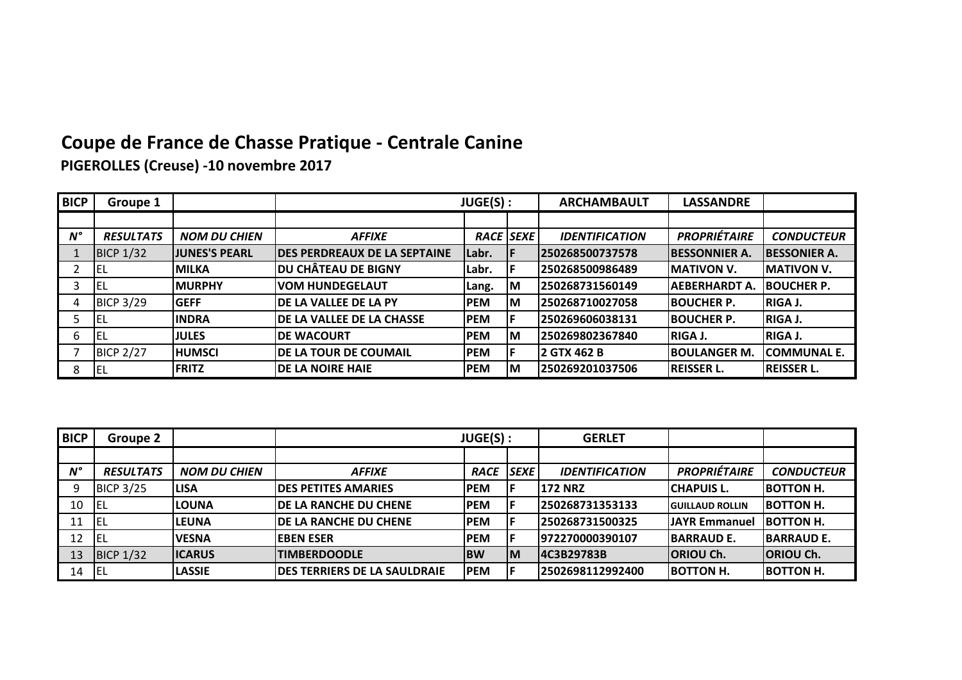## **Coupe de France de Chasse Pratique - Centrale Canine**

**PIGEROLLES (Creuse) -10 novembre 2017**

| <b>BICP</b> | Groupe 1         |                      |                                      | JUGE(S) :        |    | <b>ARCHAMBAULT</b>    | <b>LASSANDRE</b>     |                     |
|-------------|------------------|----------------------|--------------------------------------|------------------|----|-----------------------|----------------------|---------------------|
|             |                  |                      |                                      |                  |    |                       |                      |                     |
| $N^{\circ}$ | <b>RESULTATS</b> | <b>NOM DU CHIEN</b>  | <b>AFFIXE</b>                        | <b>RACE SEXE</b> |    | <b>IDENTIFICATION</b> | <b>PROPRIÉTAIRE</b>  | <b>CONDUCTEUR</b>   |
|             | <b>BICP 1/32</b> | <b>JUNES'S PEARL</b> | <b>IDES PERDREAUX DE LA SEPTAINE</b> | lLabr.           |    | 250268500737578       | <b>BESSONNIER A.</b> | <b>BESSONIER A.</b> |
|             | lel              | <b>IMILKA</b>        | <b>IDU CHÂTEAU DE BIGNY</b>          | Labr.            |    | 250268500986489       | <b>MATIVON V.</b>    | <b>MATIVON V.</b>   |
|             | EL               | <b>IMURPHY</b>       | <b>VOM HUNDEGELAUT</b>               | Lang.            | IМ | 250268731560149       | <b>AEBERHARDT A.</b> | <b>IBOUCHER P.</b>  |
|             | <b>BICP 3/29</b> | <b>IGEFF</b>         | <b>IDE LA VALLEE DE LA PY</b>        | <b>PEM</b>       | lМ | 1250268710027058      | <b>IBOUCHER P.</b>   | <b>RIGA J.</b>      |
|             | lel              | <b>INDRA</b>         | IDE LA VALLEE DE LA CHASSE           | <b>PEM</b>       | F  | 250269606038131       | <b>IBOUCHER P.</b>   | <b>RIGA J.</b>      |
| 6           | <b>IEL</b>       | <b>IJULES</b>        | <b>IDE WACOURT</b>                   | <b>PEM</b>       | ΙM | 250269802367840       | IRIGA J.             | <b>RIGA J.</b>      |
|             | <b>BICP 2/27</b> | <b>IHUMSCI</b>       | <b>IDE LA TOUR DE COUMAIL</b>        | <b>PEM</b>       | IF | 2 GTX 462 B           | IBOULANGER M.        | <b>ICOMMUNAL E.</b> |
| 8           | <b>IEL</b>       | <b>FRITZ</b>         | <b>IDE LA NOIRE HAIE</b>             | <b>PEM</b>       | lМ | 1250269201037506      | <b>REISSER L.</b>    | <b>IREISSER L.</b>  |

| <b>BICP</b> | Groupe 2         |                     |                                      | JUGE(S):   |           | <b>GERLET</b>         |                         |                   |
|-------------|------------------|---------------------|--------------------------------------|------------|-----------|-----------------------|-------------------------|-------------------|
|             |                  |                     |                                      |            |           |                       |                         |                   |
| $N^{\circ}$ | <b>RESULTATS</b> | <b>NOM DU CHIEN</b> | <b>AFFIXE</b>                        | RACE SEXE  |           | <b>IDENTIFICATION</b> | <b>PROPRIÉTAIRE</b>     | <b>CONDUCTEUR</b> |
| 9           | <b>BICP 3/25</b> | <b>LISA</b>         | <b>IDES PETITES AMARIES</b>          | <b>PEM</b> |           | <b>172 NRZ</b>        | <b>CHAPUIS L.</b>       | <b>BOTTON H.</b>  |
| 10          | IEL              | <b>LOUNA</b>        | <b>IDE LA RANCHE DU CHENE</b>        | <b>PEM</b> |           | 250268731353133       | <b>IGUILLAUD ROLLIN</b> | <b>BOTTON H.</b>  |
| 11          | -IEL             | <b>LEUNA</b>        | IDE LA RANCHE DU CHENE               | <b>PEM</b> |           | 1250268731500325      | <b>JJAYR Emmanuel</b>   | <b>BOTTON H.</b>  |
| 12          | IEL              | <b>IVESNA</b>       | <b>IEBEN ESER</b>                    | <b>PEM</b> |           | 1972270000390107      | <b>IBARRAUD E.</b>      | <b>BARRAUD E.</b> |
| 13          | <b>BICP 1/32</b> | <b>ICARUS</b>       | <b>TIMBERDOODLE</b>                  | <b>IBW</b> | <b>IM</b> | 14C3B29783B           | <b>ORIOU Ch.</b>        | <b>ORIOU Ch.</b>  |
| 14          | IEL              | <b>LASSIE</b>       | <b>IDES TERRIERS DE LA SAULDRAIE</b> | <b>PEM</b> |           | 12502698112992400     | <b>BOTTON H.</b>        | <b>BOTTON H.</b>  |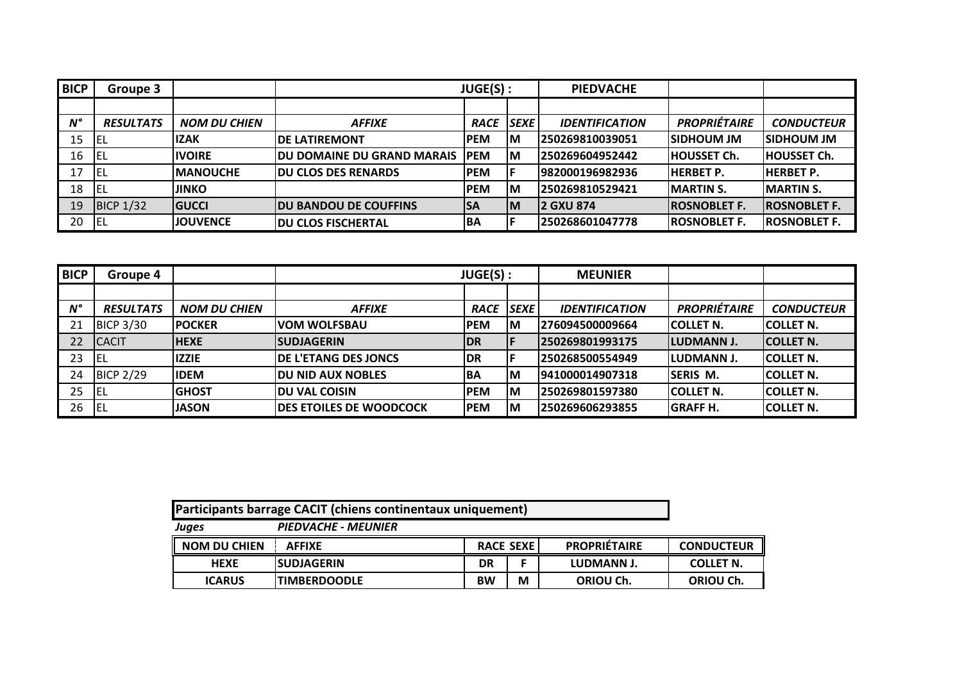| <b>BICP</b> | Groupe 3         |                     | JUGE(S):                      |             | <b>PIEDVACHE</b> |                       |                      |                      |
|-------------|------------------|---------------------|-------------------------------|-------------|------------------|-----------------------|----------------------|----------------------|
|             |                  |                     |                               |             |                  |                       |                      |                      |
| $N^{\circ}$ | <b>RESULTATS</b> | <b>NOM DU CHIEN</b> | <b>AFFIXE</b>                 | <b>RACE</b> | <b>SEXE</b>      | <b>IDENTIFICATION</b> | <b>PROPRIÉTAIRE</b>  | <b>CONDUCTEUR</b>    |
| 15          | EL               | <b>IZAK</b>         | <b>IDE LATIREMONT</b>         | <b>IPEM</b> | IM               | 250269810039051       | ISIDHOUM JM          | <b>SIDHOUM JM</b>    |
| 16          | l El             | <b>IIVOIRE</b>      | IDU DOMAINE DU GRAND MARAIS I | <b>IPEM</b> | ΙM               | 250269604952442       | <b>HOUSSET Ch.</b>   | <b>HOUSSET Ch.</b>   |
| 17          | EL               | <b>IMANOUCHE</b>    | <b>IDU CLOS DES RENARDS</b>   | <b>PEM</b>  |                  | 1982000196982936      | <b>IHERBET P.</b>    | IHERBET P.           |
| 18          | EL               | <b>JINKO</b>        |                               | <b>PEM</b>  | ΙM               | 250269810529421       | <b>MARTIN S.</b>     | <b>MARTIN S.</b>     |
| 19          | <b>BICP 1/32</b> | <b>GUCCI</b>        | <b>IDU BANDOU DE COUFFINS</b> | <b>SA</b>   | IМ               | <b>2 GXU 874</b>      | <b>IROSNOBLET F.</b> | <b>IROSNOBLET F.</b> |
| 20          | EL               | <b>IJOUVENCE</b>    | <b>IDU CLOS FISCHERTAL</b>    | IBA         |                  | 250268601047778       | <b>IROSNOBLET F.</b> | <b>ROSNOBLET F.</b>  |

| <b>BICP</b> | Groupe 4         |                     | JUGE(S) :                       |             | <b>MEUNIER</b> |                       |                     |                   |
|-------------|------------------|---------------------|---------------------------------|-------------|----------------|-----------------------|---------------------|-------------------|
|             |                  |                     |                                 |             |                |                       |                     |                   |
| $N^{\circ}$ | <b>RESULTATS</b> | <b>NOM DU CHIEN</b> | <b>AFFIXE</b>                   | <b>RACE</b> | <b>SEXE</b>    | <b>IDENTIFICATION</b> | <b>PROPRIÉTAIRE</b> | <b>CONDUCTEUR</b> |
| 21          | <b>BICP 3/30</b> | <b>IPOCKER</b>      | IVOM WOLFSBAU                   | <b>PEM</b>  | ΙM             | 276094500009664       | <b>ICOLLET N.</b>   | <b>ICOLLET N.</b> |
| 22          | <b>CACIT</b>     | <b>HEXE</b>         | <b>SUDJAGERIN</b>               | <b>IDR</b>  | IF             | 1250269801993175      | <b>ILUDMANN J.</b>  | <b>COLLET N.</b>  |
| 23          | iel              | <b>IZZIE</b>        | <b>IDE L'ETANG DES JONCS</b>    | IDR.        | lF             | 1250268500554949      | <b>ILUDMANN J.</b>  | <b>COLLET N.</b>  |
| 24          | <b>BICP 2/29</b> | <b>IIDEM</b>        | <b>IDU NID AUX NOBLES</b>       | IBA         | lм             | 1941000014907318      | <b>ISERIS M.</b>    | <b>ICOLLET N.</b> |
| 25          | iel              | <b>IGHOST</b>       | IDU VAL COISIN                  | <b>PEM</b>  | ΙM             | 1250269801597380      | <b>ICOLLET N.</b>   | <b>ICOLLET N.</b> |
| 26          | l El             | <b>JASON</b>        | <b>IDES ETOILES DE WOODCOCK</b> | <b>PEM</b>  | ΙM             | 250269606293855       | <b>GRAFF H.</b>     | <b>COLLET N.</b>  |

| Participants barrage CACIT (chiens continentaux uniquement) |                                                    |    |                  |                     |                   |  |  |  |
|-------------------------------------------------------------|----------------------------------------------------|----|------------------|---------------------|-------------------|--|--|--|
| Juges                                                       | <b>PIEDVACHE - MEUNIER</b>                         |    |                  |                     |                   |  |  |  |
| <b>NOM DU CHIEN</b>                                         | <b>AFFIXE</b>                                      |    | <b>RACE SEXE</b> | <b>PROPRIÉTAIRE</b> | <b>CONDUCTEUR</b> |  |  |  |
| <b>HEXE</b>                                                 | <b>SUDJAGERIN</b>                                  | DR |                  | LUDMANN J.          | <b>COLLET N.</b>  |  |  |  |
| <b>ICARUS</b>                                               | <b>BW</b><br>М<br>ORIOU Ch.<br><b>TIMBERDOODLE</b> |    |                  |                     |                   |  |  |  |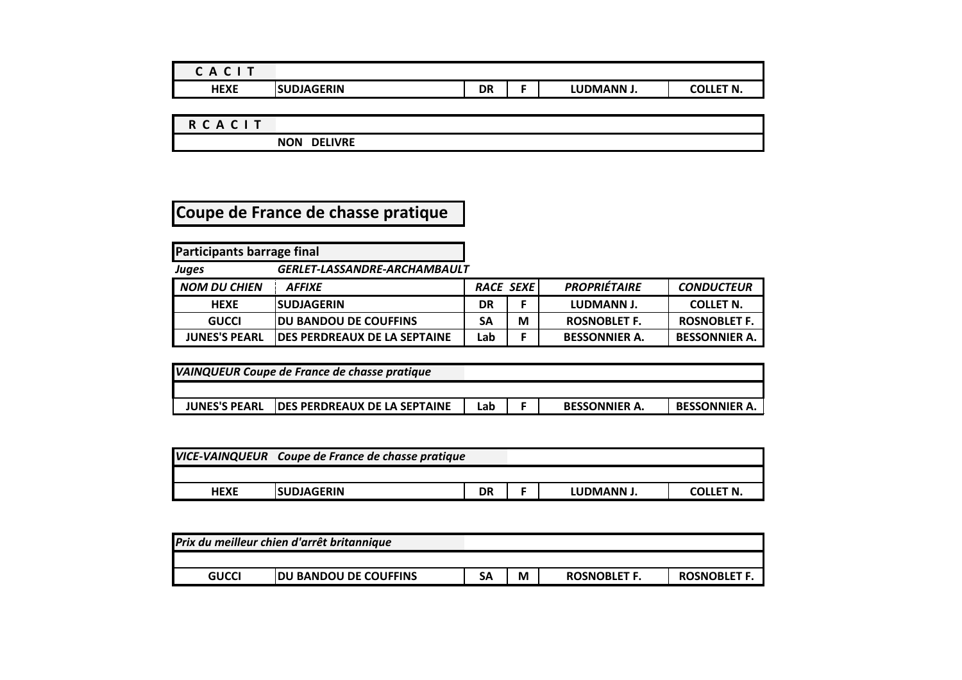| Δ<br>-<br>$\mathbf{\mathsf{m}}$<br>∼ |                 |           |            |              |
|--------------------------------------|-----------------|-----------|------------|--------------|
| HEXE                                 | SUDJAGERIN<br>S | <b>DR</b> | LUDMANN J. | LET N.<br>ה^ |

**R C A C I T**

**NON DELIVRE**

## **Coupe de France de chasse pratique**

**Participants barrage final** *Juges GERLET-LASSANDRE-ARCHAMBAULT NOM DU CHIEN AFFIXE RACE SEXE PROPRIÉTAIRE CONDUCTEUR*

|                      | <i>FU LINE</i>                       | ハハしん フレハレ |   |                      | <u>CUNDUCILUM</u>    |
|----------------------|--------------------------------------|-----------|---|----------------------|----------------------|
| <b>HEXE</b>          | <b>ISUDJAGERIN</b>                   | DR        |   | LUDMANN J.           | <b>COLLET N.</b>     |
| <b>GUCCI</b>         | <b>JDU BANDOU DE COUFFINS</b>        | SΑ        | M | ROSNOBLET F.         | <b>ROSNOBLET F.</b>  |
| <b>JUNES'S PEARL</b> | <b>IDES PERDREAUX DE LA SEPTAINE</b> | Lab       |   | <b>BESSONNIER A.</b> | <b>BESSONNIER A.</b> |

| VAINQUEUR Coupe de France de chasse pratique |                                      |     |  |                      |                      |  |
|----------------------------------------------|--------------------------------------|-----|--|----------------------|----------------------|--|
|                                              |                                      |     |  |                      |                      |  |
| <b>JUNES'S PEARL</b>                         | <b>IDES PERDREAUX DE LA SEPTAINE</b> | Lab |  | <b>BESSONNIER A.</b> | <b>BESSONNIER A.</b> |  |

|             | VICE-VAINQUEUR Coupe de France de chasse pratique |    |            |                  |
|-------------|---------------------------------------------------|----|------------|------------------|
|             |                                                   |    |            |                  |
| <b>HEXE</b> | <b>SUDJAGERIN</b>                                 | DR | LUDMANN J. | <b>COLLET N.</b> |

| Prix du meilleur chien d'arrêt britannique |                               |           |   |                     |                     |
|--------------------------------------------|-------------------------------|-----------|---|---------------------|---------------------|
|                                            |                               |           |   |                     |                     |
| <b>GUCCI</b>                               | <b>JDU BANDOU DE COUFFINS</b> | <b>SA</b> | M | <b>ROSNOBLET F.</b> | <b>ROSNOBLET F.</b> |